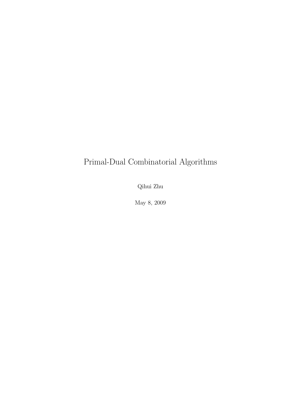# Primal-Dual Combinatorial Algorithms

Qihui Zhu

May 8, 2009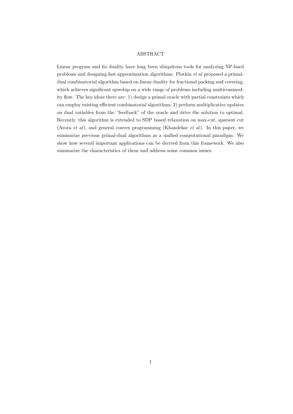#### ABSTRACT

Linear program and its duality have long been ubiquitous tools for analyzing NP-hard problems and designing fast approximation algorithms. Plotkin et al proposed a primaldual combinatorial algorithm based on linear duality for fractional packing and covering, which achieves significant speedup on a wide range of problems including multicommodity flow. The key ideas there are: 1) design a primal oracle with partial constraints which can employ existing efficient combinatorial algorithms; 2) perform multiplicative updates on dual variables from the "feedback" of the oracle and drive the solution to optimal. Recently, this algorithm is extended to SDP based relaxation on max-cut, sparsest cut (Arora et al), and general convex programming (Khandekar et al). In this paper, we summarize previous primal-dual algorithms as a unified computational paradigm. We show how several important applications can be derived from this framework. We also summarize the characteristics of them and address some common issues.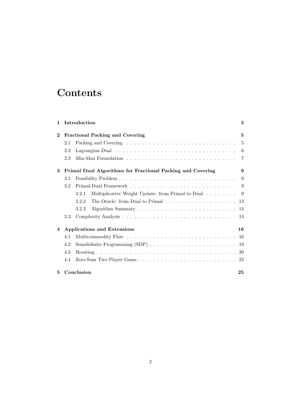# **Contents**

| 1        |                                        | Introduction                                                                                   | 3   |  |  |
|----------|----------------------------------------|------------------------------------------------------------------------------------------------|-----|--|--|
| $\bf{2}$ | <b>Fractional Packing and Covering</b> |                                                                                                |     |  |  |
|          | 2.1                                    |                                                                                                | 5   |  |  |
|          | 2.2                                    |                                                                                                | 6   |  |  |
|          | 2.3                                    |                                                                                                | 7   |  |  |
| 3        |                                        | Primal Dual Algorithms for Fractional Packing and Covering                                     | 9   |  |  |
|          | 3.1                                    |                                                                                                | 9   |  |  |
|          | 3.2                                    |                                                                                                | 9   |  |  |
|          |                                        | Multiplicative Weight Update: from Primal to Dual<br>3.2.1                                     | - 9 |  |  |
|          |                                        | The Oracle: from Dual to Primal $\ldots \ldots \ldots \ldots \ldots \ldots \ldots 13$<br>3.2.2 |     |  |  |
|          |                                        | 3.2.3                                                                                          |     |  |  |
|          | 3.3                                    |                                                                                                |     |  |  |
| 4        |                                        | <b>Applications and Extensions</b>                                                             | 16  |  |  |
|          | 4.1                                    |                                                                                                |     |  |  |
|          | 4.2                                    |                                                                                                |     |  |  |
|          | 4.3                                    |                                                                                                |     |  |  |
|          | 4.4                                    |                                                                                                |     |  |  |
| 5.       |                                        | Conclusion                                                                                     | 25  |  |  |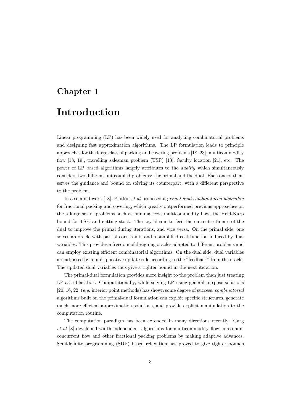# Chapter 1

# Introduction

Linear programming (LP) has been widely used for analyzing combinatorial problems and designing fast approximation algorithms. The LP formulation leads to principle approaches for the large class of packing and covering problems [18, 23], multicommodity flow [18, 19], travelling salesman problem (TSP) [13], faculty location [21], etc. The power of LP based algorithms largely attributes to the duality which simultaneously considers two different but coupled problems: the primal and the dual. Each one of them serves the guidance and bound on solving its counterpart, with a different perspective to the problem.

In a seminal work [18], Plotkin *et al* proposed a *primal-dual combinatorial algorithm* for fractional packing and covering, which greatly outperformed previous approaches on the a large set of problems such as minimal cost multicommodity flow, the Held-Karp bound for TSP, and cutting stock. The key idea is to feed the current estimate of the dual to improve the primal during iterations, and vice versa. On the primal side, one solves an oracle with partial constraints and a simplified cost function induced by dual variables. This provides a freedom of designing oracles adapted to different problems and can employ existing efficient combinatorial algorithms. On the dual side, dual variables are adjusted by a multiplicative update rule according to the "feedback" from the oracle. The updated dual variables thus give a tighter bound in the next iteration.

The primal-dual formulation provides more insight to the problem than just treating LP as a blackbox. Computationally, while solving LP using general purpose solutions [20, 16, 22] (e.g. interior point methods) has shown some degree of success, combinatorial algorithms built on the primal-dual formulation can exploit specific structures, generate much more efficient approximation solutions, and provide explicit manipulation to the computation routine.

The computation paradigm has been extended in many directions recently. Garg et al [8] developed width independent algorithms for multicommodity flow, maximum concurrent flow and other fractional packing problems by making adaptive advances. Semidefinite programming (SDP) based relaxation has proved to give tighter bounds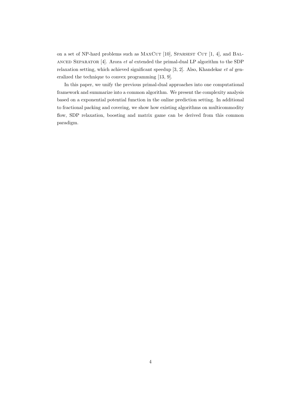on a set of NP-hard problems such as MAXCUT  $[10]$ , SPARSEST CUT  $[1, 4]$ , and BAL-ANCED SEPARATOR  $[4]$ . Arora *et al* extended the primal-dual LP algorithm to the SDP relaxation setting, which achieved significant speedup [3, 2]. Also, Khandekar et al generalized the technique to convex programming [13, 9].

In this paper, we unify the previous primal-dual approaches into one computational framework and summarize into a common algorithm. We present the complexity analysis based on a exponential potential function in the online prediction setting. In additional to fractional packing and covering, we show how existing algorithms on multicommodity flow, SDP relaxation, boosting and matrix game can be derived from this common paradigm.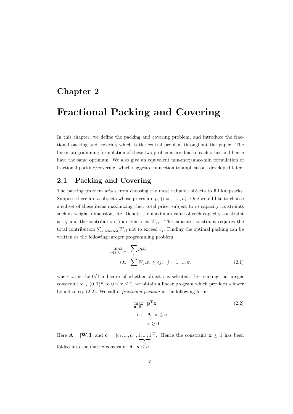## Chapter 2

# Fractional Packing and Covering

In this chapter, we define the packing and covering problem, and introduce the fractional packing and covering which is the central problem throughout the paper. The linear programming formulation of these two problems are dual to each other and hence have the same optimum. We also give an equivalent min-max/max-min formulation of fractional packing/covering, which suggests connection to applications developed later.

### 2.1 Packing and Covering

The packing problem arises from choosing the most valuable objects to fill knapsacks. Suppose there are *n* objects whose prices are  $p_i$   $(i = 1, ..., n)$ . One would like to choose a subset of these items maximizing their total price, subject to  $m$  capacity constraints such as weight, dimension, etc. Denote the maximum value of each capacity constraint as  $c_j$  and the contribution from item i as  $W_{ji}$ . The capacity constraint requires the total contribution  $\sum_{i \text{ selected}} W_{ji}$  not to exceed  $c_j$ . Finding the optimal packing can be written as the following integer programming problem:

$$
\max_{\mathbf{x} \in \{0,1\}^n} \sum_{i} p_i x_i
$$
  
s.t. 
$$
\sum_{i} W_{ji} x_i \le c_j, \quad j = 1, ..., m
$$
 (2.1)

where  $x_i$  is the  $0/1$  indicator of whether object i is selected. By relaxing the integer constraint  $\mathbf{x} \in \{0,1\}^n$  to  $0 \leq \mathbf{x} \leq 1$ , we obtain a linear program which provides a lower bound to eq. (2.2). We call it fractional packing in the following form:

$$
\max_{\mathbf{x} \in \mathbb{R}^n} \mathbf{p}^{\mathbf{T}} \mathbf{x} \tag{2.2}
$$
\n
$$
\text{s.t.} \quad \mathbf{A} \cdot \mathbf{x} \le \mathbf{c}
$$
\n
$$
\mathbf{x} \ge 0
$$

Here  $\mathbf{A} = [\mathbf{W}; \mathbf{I}]$  and  $\mathbf{c} = [c_1, ..., c_m, \underbrace{1, ..., 1}]^T$ . Hence the constraint  $\mathbf{x} \leq 1$  has been folded into the matrix constraint  $\mathbf{A} \cdot \mathbf{x} \leq \mathbf{c}$ .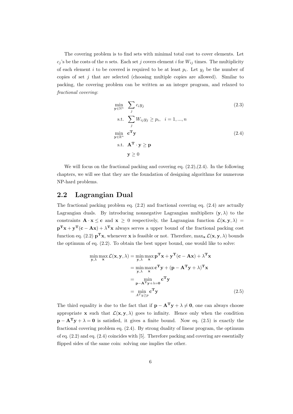The covering problem is to find sets with minimal total cost to cover elements. Let  $c_j$ 's be the costs of the n sets. Each set j covers element i for  $W_{ij}$  times. The multiplicity of each element i to be covered is required to be at least  $p_i$ . Let  $y_j$  be the number of copies of set  $j$  that are selected (choosing multiple copies are allowed). Similar to packing, the covering problem can be written as an integer program, and relaxed to fractional covering:

$$
\min_{\mathbf{y} \in \mathbb{N}^n} \sum_{j} c_i y_j
$$
\n
$$
\text{s.t.} \sum_{j} W_{ij} y_j \ge p_i, \quad i = 1, ..., n
$$
\n
$$
\min_{\mathbf{y} \in \mathbb{R}^n} \mathbf{c}^{\mathbf{T}} \mathbf{y}
$$
\n
$$
\text{s.t. } \mathbf{A}^{\mathbf{T}} \cdot \mathbf{y} \ge \mathbf{p}
$$
\n
$$
\mathbf{y} \ge 0
$$
\n(2.4)

We will focus on the fractional packing and covering eq.  $(2.2),(2.4)$ . In the following chapters, we will see that they are the foundation of designing algorithms for numerous NP-hard problems.

### 2.2 Lagrangian Dual

The fractional packing problem eq.  $(2.2)$  and fractional covering eq.  $(2.4)$  are actually Lagrangian duals. By introducing nonnegative Lagrangian multipliers  $(y, \lambda)$  to the constraints  $\mathbf{A} \cdot \mathbf{x} \leq \mathbf{c}$  and  $\mathbf{x} \geq 0$  respectively, the Lagrangian function  $\mathcal{L}(\mathbf{x}, \mathbf{y}, \lambda) =$  $\mathbf{p}^{\mathrm{T}}\mathbf{x} + \mathbf{y}^{\mathrm{T}}(\mathbf{c} - \mathbf{A}\mathbf{x}) + \lambda^{\mathrm{T}}\mathbf{x}$  always serves a upper bound of the fractional packing cost function eq. (2.2)  $\mathbf{p}^T \mathbf{x}$ , whenever  $\mathbf{x}$  is feasible or not. Therefore,  $\max_{\mathbf{x}} \mathcal{L}(\mathbf{x}, \mathbf{y}, \lambda)$  bounds the optimum of eq. (2.2). To obtain the best upper bound, one would like to solve:

$$
\min_{\mathbf{y}, \lambda} \max_{\mathbf{x}} \mathcal{L}(\mathbf{x}, \mathbf{y}, \lambda) = \min_{\mathbf{y}, \lambda} \max_{\mathbf{x}} \mathbf{p}^{\mathbf{T}} \mathbf{x} + \mathbf{y}^{\mathbf{T}} (\mathbf{c} - \mathbf{A}\mathbf{x}) + \lambda^{\mathbf{T}} \mathbf{x}
$$
  
\n
$$
= \min_{\mathbf{y}, \lambda} \max_{\mathbf{x}} \mathbf{c}^{\mathbf{T}} \mathbf{y} + (\mathbf{p} - \mathbf{A}^{\mathbf{T}} \mathbf{y} + \lambda)^{\mathbf{T}} \mathbf{x}
$$
  
\n
$$
= \min_{\mathbf{p} - \mathbf{A}^{\mathbf{T}} \mathbf{y} + \lambda = 0} \mathbf{c}^{\mathbf{T}} \mathbf{y}
$$
  
\n
$$
= \min_{A^{\mathbf{T}} \mathbf{y} \ge p} \mathbf{c}^{\mathbf{T}} \mathbf{y}
$$
(2.5)

The third equality is due to the fact that if  $\mathbf{p} - \mathbf{A}^T \mathbf{y} + \lambda \neq \mathbf{0}$ , one can always choose appropriate **x** such that  $\mathcal{L}(\mathbf{x}, \mathbf{y}, \lambda)$  goes to infinity. Hence only when the condition  $\mathbf{p} - \mathbf{A}^T \mathbf{y} + \lambda = 0$  is satisfied, it gives a finite bound. Now eq. (2.5) is exactly the fractional covering problem eq. (2.4). By strong duality of linear program, the optimum of eq.  $(2.2)$  and eq.  $(2.4)$  coincides with [5]. Therefore packing and covering are essentially flipped sides of the same coin: solving one implies the other.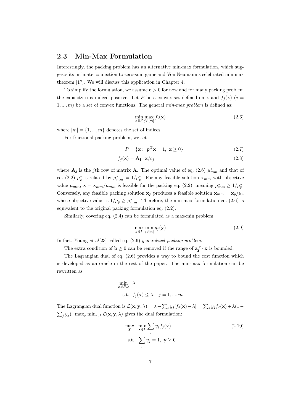### 2.3 Min-Max Formulation

Interestingly, the packing problem has an alternative min-max formulation, which suggests its intimate connection to zero-sum game and Von Neumann's celebrated minimax theorem [17]. We will discuss this application in Chapter 4.

To simplify the formulation, we assume  $c > 0$  for now and for many packing problem the capacity **c** is indeed positive. Let P be a convex set defined on **x** and  $f_i(\mathbf{x})$  (j =  $1, \ldots, m$ ) be a set of convex functions. The general *min-max problem* is defined as:

$$
\min_{\mathbf{x} \in P} \max_{j \in [m]} f_i(\mathbf{x}) \tag{2.6}
$$

where  $[m] = \{1, ..., m\}$  denotes the set of indices.

For fractional packing problem, we set

$$
P = \{ \mathbf{x} : \mathbf{p}^{\mathbf{T}} \mathbf{x} = 1, \ \mathbf{x} \ge 0 \}
$$
 (2.7)

$$
f_j(\mathbf{x}) = \mathbf{A_j} \cdot \mathbf{x} / c_j \tag{2.8}
$$

where  $\mathbf{A}_{j}$  is the jth row of matrix **A**. The optimal value of eq. (2.6)  $\mu_{mm}^{*}$  and that of eq. (2.2)  $\mu_p^*$  is related by  $\mu_{mm}^* = 1/\mu_p^*$ . For any feasible solution  $\mathbf{x}_{mm}$  with objective value  $\mu_{mm}$ ,  $\mathbf{x} = \mathbf{x}_{mm}/\mu_{mm}$  is feasible for the packing eq. (2.2), meaning  $\mu_{mm}^* \ge 1/\mu_p^*$ . Conversely, any feasible packing solution  $\mathbf{x}_p$  produces a feasible solution  $\mathbf{x}_{mm} = \mathbf{x}_p/\mu_p$ whose objective value is  $1/\mu_p \geq \mu_{mm}^*$ . Therefore, the min-max formulation eq. (2.6) is equivalent to the original packing formulation eq. (2.2).

Similarly, covering eq. (2.4) can be formulated as a max-min problem:

$$
\max_{\mathbf{y} \in P} \min_{j \in [n]} g_j(\mathbf{y})
$$
\n(2.9)

In fact, Young et al[23] called eq. (2.6) generalized packing problem.

The extra condition of  $\mathbf{b} \geq 0$  can be removed if the range of  $\mathbf{a}_{j}^{T} \cdot \mathbf{x}$  is bounded.

The Lagrangian dual of eq. (2.6) provides a way to bound the cost function which is developed as an oracle in the rest of the paper. The min-max formulation can be rewritten as

$$
\min_{\mathbf{x} \in P, \lambda} \lambda
$$
  
s.t.  $f_j(\mathbf{x}) \leq \lambda, \quad j = 1, ..., m$ 

The Lagrangian dual function is  $\mathcal{L}(\mathbf{x}, \mathbf{y}, \lambda) = \lambda + \sum$  $\sum_j y_j [f_j(\mathbf{x}) - \lambda] = \sum_j y_j f_j(\mathbf{x}) + \lambda (1 \overline{ }$  $_j y_j$ ). max<sub>y</sub> min<sub>x, $\lambda$ </sub>  $\mathcal{L}(\mathbf{x}, \mathbf{y}, \lambda)$  gives the dual formulation:

$$
\max_{\mathbf{y}} \quad \min_{\mathbf{x} \in P} \sum_{j} y_j f_j(\mathbf{x})
$$
\n
$$
\text{s.t.} \quad \sum_{j} y_j = 1, \ \mathbf{y} \ge 0
$$
\n
$$
(2.10)
$$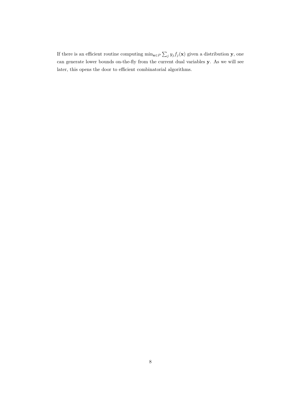If there is an efficient routine computing  $\min_{\mathbf{x} \in P} \sum$  $j$   $y_j f_j(\mathbf{x})$  given a distribution **y**, one can generate lower bounds on-the-fly from the current dual variables y. As we will see later, this opens the door to efficient combinatorial algorithms.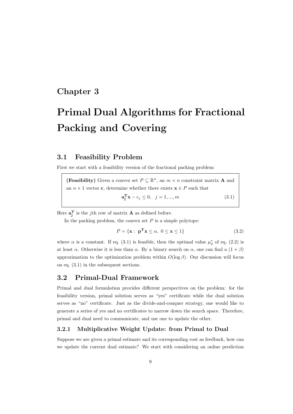## Chapter 3

# Primal Dual Algorithms for Fractional Packing and Covering

### 3.1 Feasibility Problem

First we start with a feasibility version of the fractional packing problem:

(Feasibility) Given a convex set  $P \subseteq \mathbb{R}^n$ , an  $m \times n$  constraint matrix **A** and an  $n \times 1$  vector **c**, determine whether there exists  $\mathbf{x} \in P$  such that  $\mathbf{a}_j^{\mathrm{T}} \mathbf{x} - c_j \leq 0, \quad j = 1, ..., m$  (3.1)

Here  $\mathbf{a}_j^{\mathrm{T}}$  is the *j*th row of matrix **A** as defined before.

In the packing problem, the convex set  $P$  is a simple polytope:

$$
P = \{ \mathbf{x} : \ \mathbf{p}^{\mathbf{T}} \mathbf{x} \le \alpha, \ 0 \le \mathbf{x} \le 1 \}
$$
 (3.2)

where  $\alpha$  is a constant. If eq. (3.1) is feasible, then the optimal value  $\mu_p^*$  of eq. (2.2) is at least  $\alpha$ . Otherwise it is less than  $\alpha$ . By a binary search on  $\alpha$ , one can find a  $(1 + \beta)$ approximation to the optimization problem within  $O(\log \beta)$ . Our discussion will focus on eq. (3.1) in the subsequent sections.

### 3.2 Primal-Dual Framework

Primal and dual formulation provides different perspectives on the problem: for the feasibility version, primal solution serves as "yes" certificate while the dual solution serves as "no" certificate. Just as the divide-and-conquer strategy, one would like to generate a series of yes and no certificates to narrow down the search space. Therefore, primal and dual need to communicate, and use one to update the other.

#### 3.2.1 Multiplicative Weight Update: from Primal to Dual

Suppose we are given a primal estimate and its corresponding cost as feedback, how can we update the current dual estimate? We start with considering an online prediction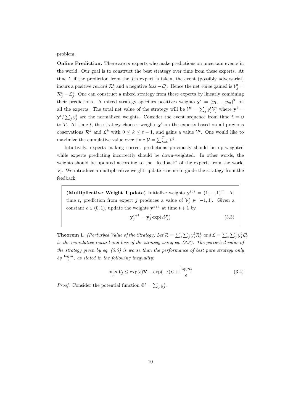problem.

**Online Prediction.** There are  $m$  experts who make predictions on uncertain events in the world. Our goal is to construct the best strategy over time from these experts. At time t, if the prediction from the *j*th expert is taken, the event (possibly adversarial) incurs a positive reward  $\mathcal{R}_j^t$  and a negative loss  $-\mathcal{L}_j^t$ . Hence the net value gained is  $\mathcal{V}_j^t$  =  $\mathcal{R}_j^t - \mathcal{L}_j^t$ . One can construct a mixed strategy from these experts by linearly combining their predictions. A mixed strategy specifies positives weights  $\mathbf{y}^t = (y_1, ..., y_m)^T$  on all the experts. The total net value of the strategy will be  $\mathcal{V}^t = \sum$  $j \,\overline{y}_j^t \mathcal{V}_j^t$  where  $\overline{\mathbf{y}}^t$  =  $y^{t}/\sum_{j} y_{j}^{t}$  are the normalized weights. Consider the event sequence from time  $t = 0$  $\overline{\phantom{0}}$ to T. At time t, the strategy chooses weights  $y<sup>t</sup>$  on the experts based on all previous observations  $\mathcal{R}^k$  and  $\mathcal{L}^k$  with  $0 \leq k \leq t-1$ , and gains a value  $\mathcal{V}^t$ . One would like to maximize the cumulative value over time  $V = \sum_{t=0}^{T} V^t$ .

Intuitively, experts making correct predictions previously should be up-weighted while experts predicting incorrectly should be down-weighted. In other words, the weights should be updated according to the "feedback" of the experts from the world  $\mathcal{V}_j^t$ . We introduce a multiplicative weight update scheme to guide the strategy from the feedback:

(Multiplicative Weight Update) Initialize weights  $y^{(0)} = (1, ..., 1)^T$ . At time t, prediction from expert j produces a value of  $\mathcal{V}_j^t \in [-1,1]$ . Given a constant  $\epsilon \in (0,1)$ , update the weights  $y^{t+1}$  at time  $t+1$  by

$$
\mathbf{y}_{j}^{t+1} = \mathbf{y}_{j}^{t} \exp(\epsilon \mathcal{V}_{j}^{t})
$$
\n(3.3)

**Theorem 1.** (Perturbed Value of the Strategy) Let  $\mathcal{R} = \sum$ t  $\overline{ }$  $j \, \overline{y}_j^t \mathcal{R}_j^t$  and  $\mathcal{L} = \sum$ t  $\overline{ }$  $_{j}$   $\overline{y}_{j}^{t}$   $\mathcal{L}_{j}^{t}$ be the cumulative reward and loss of the strategy using eq. (3.3). The perturbed value of the strategy given by eq.  $(3.3)$  is worse than the performance of best pure strategy only by  $\frac{\log m}{\epsilon}$ , as stated in the following inequality:

$$
\max_{j} V_{j} \le \exp(\epsilon)\mathcal{R} - \exp(-\epsilon)\mathcal{L} + \frac{\log m}{\epsilon}
$$
 (3.4)

*Proof.* Consider the potential function  $\Phi^t = \sum$  $j y_j^t$ .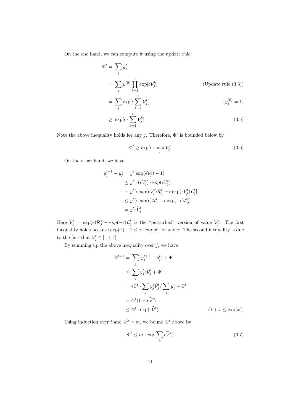On the one hand, we can compute it using the update rule:

$$
\Phi^{t} = \sum_{j} y_{j}^{t}
$$
\n
$$
= \sum_{j} y^{(0)} \prod_{k=1}^{t} \exp[\epsilon V_{j}^{k}] \qquad \text{(Update rule (3.3))}
$$
\n
$$
= \sum_{j} \exp[\epsilon \sum_{k=1}^{t} V_{j}^{k}] \qquad (y_{j}^{(0)} = 1)
$$
\n
$$
\geq \exp[\epsilon \cdot \sum_{j}^{t} V_{j}^{k}] \qquad (3.5)
$$

Note the above inequality holds for any j. Therefore,  $\Phi^t$  is bounded below by

 $k=1$ 

$$
\Phi^t \ge \exp[\epsilon \cdot \max_j \mathcal{V}_j] \tag{3.6}
$$

On the other hand, we have

$$
y_j^{t+1} - y_j^t = y^t [\exp(\epsilon \mathcal{V}_j^t) - 1]
$$
  
\n
$$
\leq y^t \cdot (\epsilon \mathcal{V}_j^t) \cdot \exp(\epsilon \mathcal{V}_j^t)
$$
  
\n
$$
= y^t [\epsilon \exp(\epsilon \mathcal{V}_j^t) \mathcal{R}_j^t - \epsilon \exp(\epsilon \mathcal{V}_j^t) \mathcal{L}_j^t]
$$
  
\n
$$
\leq y^t [\epsilon \exp(\epsilon) \mathcal{R}_j^t - \epsilon \exp(-\epsilon) \mathcal{L}_j^t]
$$
  
\n
$$
= y^t \epsilon \widetilde{\mathcal{V}}_j^t
$$

Here  $\widetilde{\mathcal{V}}_j^t = \exp(\epsilon)\mathcal{R}_j^t - \exp(-\epsilon)\mathcal{L}_j^t$  is the "perturbed" version of value  $\mathcal{V}_j^t$ . The first inequality holds because  $\exp(x) - 1 \leq x \cdot \exp(x)$  for any x. The second inequality is due to the fact that  $\mathcal{V}_j^t \in [-1,1].$ 

By summing up the above inequality over  $j$ , we have

$$
\Phi^{t+1} = \sum_{j} (y_j^{t+1} - y_j^t) + \Phi^t
$$
\n
$$
\leq \sum_{j} y_j^t \tilde{\psi}_j^t + \Phi^t
$$
\n
$$
= \epsilon \Phi^t \cdot \sum_{j} y_j^t \tilde{\psi}_j^t / \sum_{j} y_j^t + \Phi^t
$$
\n
$$
= \Phi^t (1 + \epsilon \tilde{\mathcal{V}}^t)
$$
\n
$$
\leq \Phi^t \cdot \exp(\epsilon \tilde{\mathcal{V}}^t) \qquad (1 + x \leq \exp(x))
$$

Using induction over t and  $\Phi^0 = m$ , we bound  $\Phi^t$  above by

$$
\Phi^t \le m \cdot \exp(\sum_k \epsilon \widetilde{\mathcal{V}}^k)
$$
\n(3.7)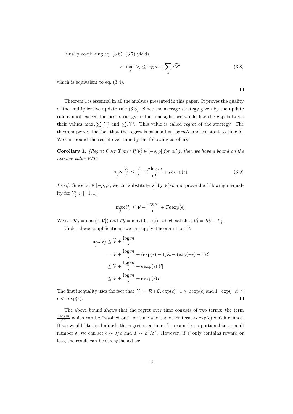Finally combining eq. (3.6), (3.7) yields

$$
\epsilon \cdot \max_{j} \mathcal{V}_{j} \le \log m + \sum_{k} \epsilon \widetilde{\mathcal{V}}^{k} \tag{3.8}
$$

which is equivalent to eq.  $(3.4)$ .

 $\Box$ 

Theorem 1 is essential in all the analysis presented in this paper. It proves the quality of the multiplicative update rule (3.3). Since the average strategy given by the update rule cannot exceed the best strategy in the hindsight, we would like the gap between their values max<sub>j</sub>  $\sum_t \mathcal{V}_j^t$  and  $\sum_t \mathcal{V}^t$ . This value is called *regret* of the strategy. The theorem proves the fact that the regret is as small as  $\log m/\epsilon$  and constant to time T. We can bound the regret over time by the following corollary:

**Corollary 1.** (Regret Over Time) If  $V_j^t \in [-\rho, \rho]$  for all j, then we have a bound on the average value  $V/T$ :

$$
\max_{j} \frac{\mathcal{V}_j}{T} \le \frac{\mathcal{V}}{T} + \frac{\rho \log m}{\epsilon T} + \rho \epsilon \exp(\epsilon)
$$
\n(3.9)

*Proof.* Since  $V_j^t \in [-\rho, \rho]$ , we can substitute  $V_j^t$  by  $V_j^t/\rho$  and prove the following inequality for  $\mathcal{V}_j^t \in [-1, 1]$ :

$$
\max_{j} \mathcal{V}_{j} \leq \mathcal{V} + \frac{\log m}{\epsilon} + T\epsilon \exp(\epsilon)
$$

We set  $\mathcal{R}_j^t = \max(0, \mathcal{V}_j^t)$  and  $\mathcal{L}_j^t = \max(0, -\mathcal{V}_j^t)$ , which satisfies  $\mathcal{V}_j^t = \mathcal{R}_j^t - \mathcal{L}_j^t$ . Under these simplifications, we can apply Theorem 1 on  $\mathcal{V}$ :

$$
\max_{j} \mathcal{V}_{j} \leq \widetilde{\mathcal{V}} + \frac{\log m}{\epsilon}
$$
\n
$$
= \mathcal{V} + \frac{\log m}{\epsilon} + (\exp(\epsilon) - 1)\mathcal{R} - (\exp(-\epsilon) - 1)\mathcal{L}
$$
\n
$$
\leq \mathcal{V} + \frac{\log m}{\epsilon} + \epsilon \exp(\epsilon)|\mathcal{V}|
$$
\n
$$
\leq \mathcal{V} + \frac{\log m}{\epsilon} + \epsilon \exp(\epsilon)T
$$

The first inequality uses the fact that  $|\mathcal{V}| = \mathcal{R} + \mathcal{L}$ ,  $\exp(\epsilon) - 1 \leq \epsilon \exp(\epsilon)$  and  $1 - \exp(-\epsilon) \leq$  $\Box$  $\epsilon < \epsilon \exp(\epsilon).$ 

The above bound shows that the regret over time consists of two terms: the term  $\frac{\rho \log m}{\epsilon T}$  which can be "washed out" by time and the other term  $\rho \epsilon \exp(\epsilon)$  which cannot. If we would like to diminish the regret over time, for example proportional to a small number  $\delta$ , we can set  $\epsilon \sim \delta/\rho$  and  $T \sim \rho^2/\delta^2$ . However, if V only contains reward or loss, the result can be strengthened as: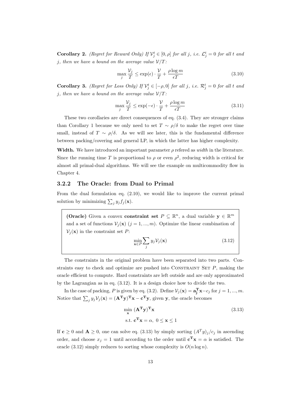**Corollary 2.** (Regret for Reward Only) If  $V_j^t \in [0, \rho]$  for all j, i.e.  $\mathcal{L}_j^t = 0$  for all t and j, then we have a bound on the average value  $\mathcal{V}/T$ :

$$
\max_{j} \frac{\mathcal{V}_{j}}{T} \le \exp(\epsilon) \cdot \frac{\mathcal{V}}{T} + \frac{\rho \log m}{\epsilon T} \tag{3.10}
$$

**Corollary 3.** (Regret for Loss Only) If  $V_j^t \in [-\rho, 0]$  for all j, i.e.  $\mathcal{R}_j^t = 0$  for all t and j, then we have a bound on the average value  $\mathcal{V}/T$ :

$$
\max_{j} \frac{\mathcal{V}_j}{T} \le \exp(-\epsilon) \cdot \frac{\mathcal{V}}{T} + \frac{\rho \log m}{\epsilon T} \tag{3.11}
$$

These two corollaries are direct consequences of eq. (3.4). They are stronger claims than Corollary 1 because we only need to set  $T \sim \rho/\delta$  to make the regret over time small, instead of  $T \sim \rho/\delta$ . As we will see later, this is the fundamental difference between packing/covering and general LP, in which the latter has higher complexity.

Width. We have introduced an important parameter  $\rho$  refered as *width* in the literature. Since the running time T is proportional to  $\rho$  or even  $\rho^2$ , reducing width is critical for almost all primal-dual algorithms. We will see the example on multicommodity flow in Chapter 4.

#### 3.2.2 The Oracle: from Dual to Primal

From the dual formulation eq. (2.10), we would like to improve the current primal solution by minimizing  $\sum_j y_j f_j(\mathbf{x})$ .

(Oracle) Given a convex constraint set  $P \subseteq \mathbb{R}^n$ , a dual variable  $y \in \mathbb{R}^m$ and a set of functions  $V_j(\mathbf{x})$   $(j = 1, ..., m)$ . Optimize the linear combination of  $\mathcal{V}_j(\mathbf{x})$  in the constraint set P:  $\overline{\phantom{a}}$ 

$$
\min_{\mathbf{x} \in P} \sum_{j} y_j \mathcal{V}_j(\mathbf{x}) \tag{3.12}
$$

The constraints in the original problem have been separated into two parts. Constraints easy to check and optimize are pushed into CONSTRAINT SET  $P$ , making the oracle efficient to compute. Hard constraints are left outside and are only approximated by the Lagrangian as in eq. (3.12). It is a design choice how to divide the two.

In the case of packing, P is given by eq. (3.2). Define  $\mathcal{V}_j(\mathbf{x}) = \mathbf{a}_j^{\mathbf{T}} \mathbf{x} - c_j$  for  $j = 1, ..., m$ . Notice that  $\sum_j y_j \mathcal{V}_j(\mathbf{x}) = (\mathbf{A}^T \mathbf{y})^T \mathbf{x} - \mathbf{c}^T \mathbf{y}$ , given y, the oracle becomes

$$
\min_{\mathbf{x}} (\mathbf{A}^{\mathbf{T}} \mathbf{y})^{\mathbf{T}} \mathbf{x}
$$
  
s.t.  $\mathbf{c}^{\mathbf{T}} \mathbf{x} = \alpha, \ 0 \le \mathbf{x} \le 1$  (3.13)

If  $c \ge 0$  and  $A \ge 0$ , one can solve eq. (3.13) by simply sorting  $(A<sup>T</sup>y)<sub>j</sub>/c_j$  in ascending order, and choose  $x_j = 1$  until according to the order until  $\mathbf{c}^T \mathbf{x} = \alpha$  is satisfied. The oracle (3.12) simply reduces to sorting whose complexity is  $O(n \log n)$ .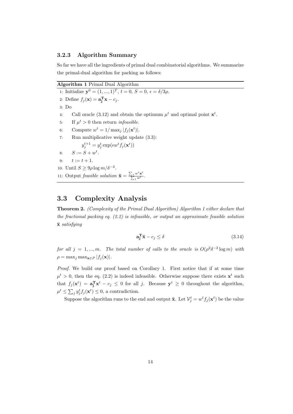#### 3.2.3 Algorithm Summary

So far we have all the ingredients of primal dual combinatorial algorithms. We summarize the primal-dual algorithm for packing as follows:

| Algorithm 1 Primal Dual Algorithm |  |  |  |  |
|-----------------------------------|--|--|--|--|
|-----------------------------------|--|--|--|--|

1: Initialize  $y^0 = (1, ..., 1)^T$ ,  $t = 0$ ,  $S = 0$ ,  $\epsilon = \delta/3\rho$ . 2: Define  $f_j(\mathbf{x}) = \mathbf{a}_j^{\mathbf{T}} \mathbf{x} - c_j$ . 3: Do 4: Call oracle (3.12) and obtain the optimum  $\mu^t$  and optimal point  $\mathbf{x}^t$ . 5: If  $\mu^t > 0$  then return *infeasible*. 6: Compute  $w^t = 1/\max_j |f_j(\mathbf{x}^t)|$ . 7: Run multiplicative weight update (3.3):  $y_j^{t+1} = y_j^t \exp(\epsilon w^t f_j(\mathbf{x}^t))$ 8:  $S := S + w^t$ . 9:  $t := t + 1$ . 10: Until  $S \geq 9 \rho \log m / \delta^{-2}$ . 11: Output *feasible solution*  $\bar{\mathbf{x}} =$  $\frac{\sum_t w^t \mathbf{x}^t}{\sum_t w^t}$ .

## 3.3 Complexity Analysis

Theorem 2. (Complexity of the Primal Dual Algorithm) Algorithm 1 either declare that the fractional packing eq.  $(2.2)$  is infeasible, or output an approximate feasible solution  $\bar{x}$  satisfying

$$
\mathbf{a_j^T}\bar{\mathbf{x}} - c_j \le \delta \tag{3.14}
$$

for all  $j = 1, ..., m$ . The total number of calls to the oracle is  $O(\rho^2 \delta^{-2} \log m)$  with  $\rho = \max_j \max_{\mathbf{x} \in P} |f_j(\mathbf{x})|$ .

Proof. We build our proof based on Corollary 1. First notice that if at some time  $\mu^t > 0$ , then the eq. (2.2) is indeed infeasible. Otherwise suppose there exists  $x^t$  such that  $f_j(\mathbf{x}^t) = \mathbf{a}_j^T \mathbf{x}^t - c_j \leq 0$  for all j. Because  $\mathbf{y}^t \geq 0$  throughout the algorithm,  $\mu^t \leq \sum_j y_j^t f_j(\mathbf{x}^t) \leq 0$ , a contradiction.  $\stackrel{\circ}{\cdot}$ 

Suppose the algorithm runs to the end and output  $\bar{\mathbf{x}}$ . Let  $\mathcal{V}_j^t = w^t f_j(\mathbf{x}^t)$  be the value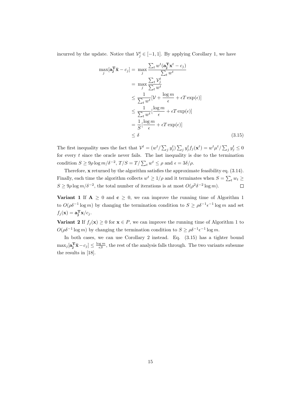incurred by the update. Notice that  $\mathcal{V}_j^t \in [-1,1]$ . By applying Corollary 1, we have

 $\mathbf r$ 

$$
\max_{j} [\mathbf{a}_{j}^{T} \overline{\mathbf{x}} - c_{j}] = \max_{j} \frac{\sum_{t} w^{t} (\mathbf{a}_{j}^{T} \mathbf{x}^{t} - c_{j})}{\sum_{t} w^{t}}
$$
\n
$$
= \max_{j} \frac{\sum_{t} V_{j}^{t}}{\sum_{t} w^{t}}
$$
\n
$$
\leq \frac{1}{\sum_{t} w^{t}} [\mathcal{V} + \frac{\log m}{\epsilon} + \epsilon T \exp(\epsilon)]
$$
\n
$$
\leq \frac{1}{\sum_{t} w^{t}} [\frac{\log m}{\epsilon} + \epsilon T \exp(\epsilon)]
$$
\n
$$
= \frac{1}{S} [\frac{\log m}{\epsilon} + \epsilon T \exp(\epsilon)]
$$
\n
$$
\leq \delta
$$
\n(3.15)

The first inequality uses the fact that  $\mathcal{V}^t = (w^t / \sum$  $_j y_j^t$ )  $\sum$  $y_j^t f_j(\mathbf{x}^t) = w^t \mu^t / \sum$  $y_j^t \leq 0$ for every  $t$  since the oracle never fails. The last inequality is due to the termination condition  $S \ge 9\rho \log m/\delta^{-2}$ ,  $T/S = T/\sum_t w^t \le \rho$  and  $\epsilon = 3\delta/\rho$ .

Therefore, x returned by the algorithm satisfies the approximate feasibility eq. (3.14). Finally, each time the algorithm collects  $w^t \ge 1/\rho$  and it terminates when  $S = \sum_t w_t \ge$  $S \ge 9\rho \log m/\delta^{-2}$ , the total number of iterations is at most  $O(\rho^2 \delta^{-2} \log m)$ .  $\Box$ 

Variant 1 If  $A \geq 0$  and  $c \geq 0$ , we can improve the running time of Algorithm 1 to  $O(\rho \delta^{-1} \log m)$  by changing the termination condition to  $S \geq \rho \delta^{-1} \epsilon^{-1} \log m$  and set  $f_j(\mathbf{x}) = \mathbf{a}_j^{\mathbf{T}} \mathbf{x}/c_j.$ 

**Variant 2** If  $f_j(\mathbf{x}) \geq 0$  for  $\mathbf{x} \in P$ , we can improve the running time of Algorithm 1 to  $O(\rho \delta^{-1} \log m)$  by changing the termination condition to  $S \geq \rho \delta^{-1} \epsilon^{-1} \log m$ .

In both cases, we can use Corollary 2 instead. Eq. (3.15) has a tighter bound  $\max_j [\mathbf{a}_j^{\mathrm{T}} \bar{\mathbf{x}} - c_j] \le \frac{\log m}{\epsilon S}$ , the rest of the analysis falls through. The two variants subsume the results in [18].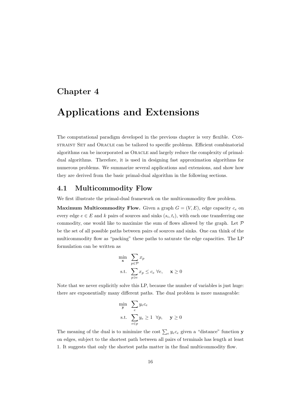## Chapter 4

# Applications and Extensions

The computational paradigm developed in the previous chapter is very flexible. Constraint Set and Oracle can be tailored to specific problems. Efficient combinatorial algorithms can be incorporated as Oracle and largely reduce the complexity of primaldual algorithms. Therefore, it is used in designing fast approximation algorithms for numerous problems. We summarize several applications and extensions, and show how they are derived from the basic primal-dual algorithm in the following sections.

### 4.1 Multicommodity Flow

We first illustrate the primal-dual framework on the multicommodity flow problem.

**Maximum Multicommodity Flow.** Given a graph  $G = (V, E)$ , edge capacity  $c_e$  on every edge  $e \in E$  and k pairs of sources and sinks  $(s_i, t_i)$ , with each one transferring one commodity, one would like to maximize the sum of flows allowed by the graph. Let  $\mathcal P$ be the set of all possible paths between pairs of sources and sinks. One can think of the multicommodity flow as "packing" these paths to saturate the edge capacities. The LP formulation can be written as

$$
\min_{\mathbf{x}} \sum_{p \in \mathcal{P}} x_p
$$
\n
$$
\text{s.t.} \sum_{p \ni e} x_p \le c_e \ \forall e, \quad \mathbf{x} \ge 0
$$

Note that we never explicitly solve this LP, because the number of variables is just huge: there are exponentially many different paths. The dual problem is more manageable:

$$
\min_{\mathbf{y}} \sum_{e} y_e c_e
$$
\n
$$
\text{s.t.} \sum_{e \in p} y_e \ge 1 \ \forall p, \quad \mathbf{y} \ge 0
$$

The meaning of the dual is to minimize the cost  $\sum_{e} y_e c_e$  given a "distance" function **y** on edges, subject to the shortest path between all pairs of terminals has length at least 1. It suggests that only the shortest paths matter in the final multicommodity flow.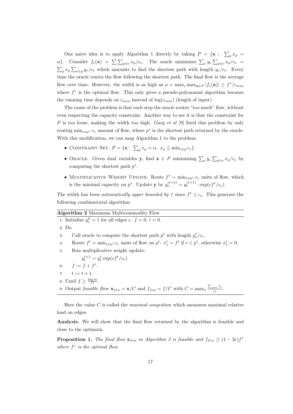One naive idea is to apply Algorithm 1 directly by taking  $P = \{x : \sum_{i=1}^{n} x_i\}$  $\int_{p} x_{p} =$  $\alpha$ }. Consider  $f_e(\mathbf{x}) = \sum_{p \ni e}^{\alpha} x_p/c_e$ . The oracle minimizes  $\sum_{e} y_e \sum_{p \ni e}^{\alpha} x_p/c_e$  $\alpha$ }. Consider  $f_e(\mathbf{x}) = \sum \sum_{p \ni e} x_p/c_e$ . The oracle minimizes  $\sum_e y_e \sum_{p \ni e} x_p/c_e =$  $_{p} x_{p} \sum_{e \in p} y_{e}/c_{e}$  which amounts to find the shortest path with length  $y_{e}/c_{e}$ . Every time the oracle routes the flow following the shortest path. The final flow is the average flow over time. However, the width is as high as  $\rho = \max_{e} \max_{\mathbf{x} \in P} |f_e(\mathbf{x})| \geq f^*/c_{min}$ where  $f^*$  is the optimal flow. This only gives a pseudo-polynomial algorithm because the running time depends on  $c_{min}$  instead of  $log(c_{min})$  (length of input).

The cause of the problem is that each step the oracle routes "too much" flow, without even respecting the capacity constraint. Another way to see it is that the constraint for P is too loose, making the width too high. Garg et al  $[9]$  fixed this problem by only routing  $\min_{e \in p^*} c_e$  amount of flow, where  $p^*$  is the shortest path returned by the oracle. With this modification, we can map Algorithm 1 to the problem:

- CONSTRAINT SET.  $P = \{ \mathbf{x} : \sum_{n=1}^{\infty} \}$  $_p x_p = \alpha, x_p \leq \min_{e \in p} c_e$
- ORACLE. Given dual variables **y**, find  $\mathbf{x} \in P$  minimizing  $\sum_{e} y_e \sum_{e}$  $r_{p\ni e} x_p/c_e$  by computing the shortest path  $p^*$ .
- MULTIPLICATIVE WEIGHT UPDATE. Route  $f^t = \min_{e \in p^*} c_e$  units of flow, which is the minimal capacity on  $p^*$ . Update **y** by  $y_e^{(t+1)} = y_e^{(t+1)} \cdot \exp(\epsilon f^t / c_e)$ .

The width has been *automatically upper bounded by 1* since  $f^t \leq c_e$ . This generate the following combinatorial algorithm:

| <b>Algorithm 2</b> Maximum Multicommodity Flow                                                                                   |  |  |  |  |  |
|----------------------------------------------------------------------------------------------------------------------------------|--|--|--|--|--|
| 1: Initialize $y_e^0 = 1$ for all edges e. $f = 0, t = 0$ .                                                                      |  |  |  |  |  |
| 2: Do                                                                                                                            |  |  |  |  |  |
| Call oracle to compute the shortest path $p^t$ with length $y_c^t/c_e$ .<br>3:                                                   |  |  |  |  |  |
| Route $f^t = \min_{e \in p^t} c_e$ units of flow on $p^t$ : $x_e^t = f^t$ if $e \in p^t$ , otherwise $x_e^t = 0$ .<br>4:         |  |  |  |  |  |
| Run multiplicative weight update:<br>5:                                                                                          |  |  |  |  |  |
| $y_e^{t+1} = y_e^t \exp(\epsilon f^t/c_e)$                                                                                       |  |  |  |  |  |
| 6: $f := f + f^t$ .                                                                                                              |  |  |  |  |  |
| 7: $t := t + 1$ .                                                                                                                |  |  |  |  |  |
| 8: Until $f \geq \frac{\log m}{\epsilon^2}$ .                                                                                    |  |  |  |  |  |
| 9: Output feasible flow $\mathbf{x}_{fea} = \mathbf{x}/C$ and $f_{fea} = f/C$ with $C = \max_{e} \frac{\sum_{p \ni e} x_e}{c}$ . |  |  |  |  |  |
|                                                                                                                                  |  |  |  |  |  |

Here the value C is called the *maximal congestion* which measures maximal relative load on edges.

Analysis. We will show that the final flow returned by the algorithm is feasible and close to the optimum.

**Proposition 1.** The final flow  $\mathbf{x}_{fea}$  in Algorithm 2 is feasible and  $f_{fea} \geq (1 - 2\epsilon)f^*$ where  $f^*$  is the optimal flow.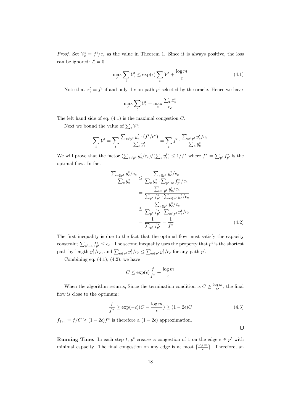*Proof.* Set  $V_e^t = f^t/c_e$  as the value in Theorem 1. Since it is always positive, the loss can be ignored:  $\mathcal{L} = 0$ .

$$
\max_{e} \sum_{t} \mathcal{V}_e^t \le \exp(\epsilon) \sum_{t} \mathcal{V}^t + \frac{\log m}{\epsilon} \tag{4.1}
$$

Note that  $x_e^t = f^t$  if and only if e on path  $p^t$  selected by the oracle. Hence we have

$$
\max_e \sum_t \mathcal{V}_e^t = \max_e \frac{\sum_t x_e^t}{c_e}
$$

The left hand side of eq.  $(4.1)$  is the maximal congestion  $C$ .

Next we bound the value of  $\sum_t \mathcal{V}^t$ :

$$
\sum_{t} \mathcal{V}^{t} = \sum_{t} \frac{\sum_{e \in p^{t}} y_e^{t} \cdot (f^{t}/c^e)}{\sum_{e} y_e^{t}} = \sum_{t} f^{t} \cdot \frac{\sum_{e \in p^{t}} y_e^{t}/c_e}{\sum_{e} y_e^{t}}
$$

We will prove that the factor  $(\sum_{e \in p^t} y_e^t/c_e)/(\sum$  $\mathcal{L}_e y_e^t \leq 1/f^*$  where  $f^* = \sum_{p'} f_{p'}^*$  is the optimal flow. In fact

$$
\frac{\sum_{e \in p^t} y_e^t / c_e}{\sum_e y_e^t} \leq \frac{\sum_{e \in p^t} y_e^t / c_e}{\sum_e y_e^t \cdot \sum_{p' \ni e} f_{p'}^* / c_e}
$$
\n
$$
= \frac{\sum_{e \in p^t} y_e^t / c_e}{\sum_{p'} f_{p'}^* \cdot \sum_{e \in p'} y_e^t / c_e}
$$
\n
$$
\leq \frac{\sum_{e \in p^t} y_e^t / c_e}{\sum_{p'} f_{p'}^* \cdot \sum_{e \in p^t} y_e^t / c_e}
$$
\n
$$
= \frac{1}{\sum_{p'} f_{p'}^*} = \frac{1}{f^*}
$$
\n(4.2)

The first inequality is due to the fact that the optimal flow must satisfy the capacity constraint  $\sum_{p' \ni e} f_{p'}^* \leq c_e$ . The second inequality uses the property that  $p^t$  is the shortest path by length  $y_e^t/c_e$ , and  $\sum_{e \in p^t} y_e^t/c_e \le \sum_{e \in p'} y_e^t/c_e$  for any path p'.

Combining eq.  $(4.1)$ ,  $(4.2)$ , we have

$$
C \le \exp(\epsilon) \frac{f}{f^*} + \frac{\log m}{\epsilon}
$$

When the algorithm returns, Since the termination condition is  $C \geq \frac{\log m}{\epsilon^2}$ , the final flow is close to the optimum:

$$
\frac{f}{f^*} \ge \exp(-\epsilon)(C - \frac{\log m}{\epsilon}) \ge (1 - 2\epsilon)C\tag{4.3}
$$

 $f_{fea} = f/C \geq (1 - 2\epsilon)f^*$  is therefore a  $(1 - 2\epsilon)$  approximation.

 $\Box$ 

**Running Time.** In each step t,  $p^t$  creates a congestion of 1 on the edge  $e \in p^t$  with minimal capacity. The final congestion on any edge is at most  $\lceil \frac{\log m}{\epsilon} \rceil$ . Therefore, an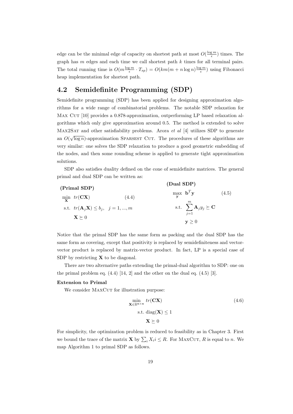edge can be the minimal edge of capacity on shortest path at most  $O(\frac{\log m}{\epsilon})$  times. The graph has  $m$  edges and each time we call shortest path  $k$  times for all terminal pairs. The total running time is  $O(m\frac{\log m}{\epsilon} \cdot T_{sp}) = O(km(m+n\log n)\frac{\log m}{\epsilon})$  using Fibonacci heap implementation for shortest path.

## 4.2 Semidefinite Programming (SDP)

Semidefinite programming (SDP) has been applied for designing approximation algorithms for a wide range of combinatorial problems. The notable SDP relaxation for MAX CUT [10] provides a 0.878-approximation, outperforming LP based relaxation algorithms which only give approximation around 0.5. The method is extended to solve MAX2SAT and other satisfiability problems. Arora *et al* [4] utilizes SDP to generate an  $O(\sqrt{\log n})$ -approximation SPARSEST CUT. The procedures of these algorithms are very similar: one solves the SDP relaxation to produce a good geometric embedding of the nodes, and then some rounding scheme is applied to generate tight approximation solutions.

SDP also satisfies duality defined on the cone of semidefinite matrices. The general primal and dual SDP can be written as:

(Primal SDP)

\n
$$
\min_{\mathbf{X}} \text{ tr}(\mathbf{C}\mathbf{X})
$$
\n
$$
\text{s.t. } \text{ tr}(\mathbf{A}_{j}\mathbf{X}) \leq b_{j}, \quad j = 1, \ldots, m
$$
\n
$$
\sum_{j=1}^{m} \mathbf{A}_{j} y_{j} \succeq \mathbf{C}
$$
\n
$$
\mathbf{X} \succeq 0
$$
\n(1.5)

\n
$$
\max_{\mathbf{y}} \mathbf{b}^{T} \mathbf{y}
$$
\n
$$
\text{s.t. } \sum_{j=1}^{m} \mathbf{A}_{j} y_{j} \succeq \mathbf{C}
$$

Notice that the primal SDP has the same form as packing and the dual SDP has the same form as covering, except that positivity is replaced by semidefiniteness and vectorvector product is replaced by matrix-vector product. In fact, LP is a special case of SDP by restricting  $X$  to be diagonal.

There are two alternative paths extending the primal-dual algorithm to SDP: one on the primal problem eq.  $(4.4)$  [14, 2] and the other on the dual eq.  $(4.5)$  [3].

#### Extension to Primal

We consider MAXCUT for illustration purpose:

$$
\min_{\mathbf{X} \in \mathbb{R}^{n \times n}} tr(\mathbf{C}\mathbf{X})
$$
\n
$$
\text{s.t. } \text{diag}(\mathbf{X}) \le 1
$$
\n
$$
\mathbf{X} \succeq 0
$$
\n(4.6)

For simplicity, the optimization problem is reduced to feasibility as in Chapter 3. First we bound the trace of the matrix **X** by  $\sum_i X_i i \leq R$ . For MAXCUT, R is equal to n. We map Algorithm 1 to primal SDP as follows.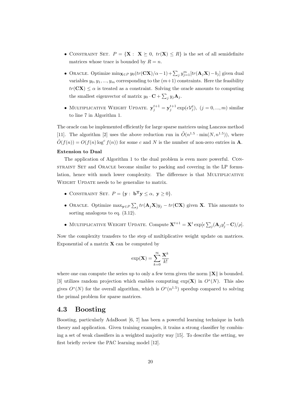- CONSTRAINT SET.  $P = \{ \mathbf{X} : \mathbf{X} \succeq 0, \text{tr}(\mathbf{X}) \leq R \}$  is the set of all semidefinite matrices whose trace is bounded by  $R = n$ .
- Oracle. Optimize  $\min_{\mathbf{X}\in P} y_0(tr(\mathbf{C}\mathbf{X})/\alpha-1) + \sum_j y_{j=1}^m [tr(\mathbf{A}_j\mathbf{X}) b_j]$  given dual variables  $y_0, y_1, ..., y_m$  corresponding to the  $(m+1)$  constraints. Here the feasibility  $tr(CX) \leq \alpha$  is treated as a constraint. Solving the oracle amounts to computing the smallest eigenvector of matrix  $y_0 \cdot \mathbf{C} + \sum$  $_j y_j \mathbf{A}_j$ .
- MULTIPLICATIVE WEIGHT UPDATE.  $y_j^{t+1} = y_j^{t+1} \exp(\epsilon V_j^t)$ ,  $(j = 0, ..., m)$  similar to line 7 in Algorithm 1.

The oracle can be implemented efficiently for large sparse matrices using Lanczos method [11]. The algorithm [2] uses the above reduction run in  $\tilde{O}(n^{1.5} \cdot \min(N, n^{1.5}))$ , where  $\tilde{O}(f(n)) = O(f(n) \log^c f(n))$  for some c and N is the number of non-zero entries in **A**.

#### Extension to Dual

The application of Algorithm 1 to the dual problem is even more powerful. Constraint Set and Oracle become similar to packing and covering in the LP formulation, hence with much lower complexity. The difference is that MULTIPLICATIVE WEIGHT UPDATE needs to be generalize to matrix.

- CONSTRAINT SET.  $P = \{y : \mathbf{b}^T y \leq \alpha, y \geq 0\}.$
- ORACLE. Optimize  $\max_{\mathbf{y} \in P} \sum$  $j tr(\mathbf{A}_j \mathbf{X}) y_j - tr(\mathbf{C} \mathbf{X})$  given **X**. This amounts to sorting analogous to eq. (3.12).
- MULTIPLICATIVE WEIGHT UPDATE. Compute  $\mathbf{X}^{t+1} = \mathbf{X}^t \exp[\epsilon \sum_{k=1}^T \mathbf{X}^t]$  $j(\mathbf{A}_j y_j^t - \mathbf{C})/\rho].$

Now the complexity transfers to the step of multiplicative weight update on matrices. Exponential of a matrix  $X$  can be computed by

$$
\exp(\mathbf{X}) = \sum_{k=0}^{\infty} \frac{\mathbf{X}^k}{k!}
$$

where one can compute the series up to only a few term given the norm  $\|\mathbf{X}\|$  is bounded. [3] utilizes random projection which enables computing  $\exp(\mathbf{X})$  in  $O^*(N)$ . This also gives  $O^*(N)$  for the overall algorithm, which is  $O^*(n^{1.5})$  speedup compared to solving the primal problem for sparse matrices.

### 4.3 Boosting

Boosting, particularly AdaBoost [6, 7] has been a powerful learning technique in both theory and application. Given training examples, it trains a strong classifier by combining a set of weak classifiers in a weighted majority way [15]. To describe the setting, we first briefly review the PAC learning model [12].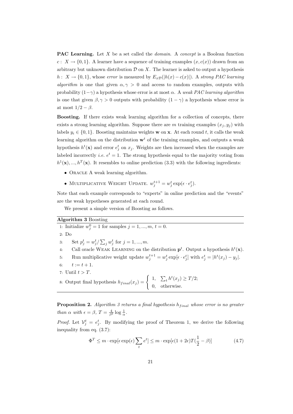**PAC Learning.** Let X be a set called the *domain*. A *concept* is a Boolean function c:  $X \to \{0,1\}$ . A learner have a sequence of training examples  $(x, c(x))$  drawn from an arbitrary but unknown distribution  $\mathcal D$  on X. The learner is asked to output a hypothesis h :  $X \to \{0,1\}$ , whose error is measured by  $E_x\mathcal{D}(|h(x) - c(x)|)$ . A strong PAC learning algorithm is one that given  $\alpha, \gamma > 0$  and access to random examples, outputs with probability  $(1-\gamma)$  a hypothesis whose error is at most  $\alpha$ . A weak PAC learning algorithm is one that given  $\beta, \gamma > 0$  outputs with probability  $(1 - \gamma)$  a hypothesis whose error is at most  $1/2 - \beta$ .

Boosting. If there exists weak learning algorithm for a collection of concepts, there exists a strong learning algorithm. Suppose there are m training examples  $(x_i, y_i)$  with labels  $y_i \in \{0, 1\}$ . Boosting maintains weights **w** on **x**. At each round t, it calls the weak learning algorithm on the distribution  $\mathbf{w}^t$  of the training examples, and outputs a weak hypothesis  $h^t(\mathbf{x})$  and error  $e^t_j$  on  $x_j$ . Weights are then increased when the examples are labeled incorrectly *i.e.*  $e^t = 1$ . The strong hypothesis equal to the majority voting from  $h^1(\mathbf{x}), ..., h^T(\mathbf{x})$ . It resembles to online prediction (3.3) with the following ingredients:

- ORACLE A weak learning algorithm.
- MULTIPLICATIVE WEIGHT UPDATE.  $w_j^{t+1} = w_j^t \exp(\epsilon \cdot e_j^t)$ .

Note that each example corresponds to "experts" in online prediction and the "events" are the weak hypotheses generated at each round.

We present a simple version of Boosting as follows.

#### Algorithm 3 Boosting

1: Initialize  $w_j^0 = 1$  for samples  $j = 1, ..., m, t = 0$ . 2: Do 3: Set  $p_j^t = w_j^t / \sum_j w_j^t$  for  $j = 1, ..., m$ . 4. Call oracle WEAK LEARNING on the distribution  $p^t$ . Output a hypothesis  $h^t(\mathbf{x})$ . 5: Run multiplicative weight update  $w_j^{t+1} = w_j^t \exp[\epsilon \cdot e_j^t]$  with  $e_j^t = |h^t(x_j) - y_j|$ . 6:  $t := t + 1$ . 7: Until  $t > T$ . 7: Until  $t > T$ .<br>8: Output final hypothesis  $h_{final}(x_j) = \begin{cases} \end{cases}$  $1, \sum$  $t h^t(x_j) \geq T/2;$ 0, otherwise. **Proposition 2.** Algorithm 3 returns a final hypothesis  $h_{final}$  whose error is no greater

than  $\alpha$  with  $\epsilon = \beta$ ,  $T = \frac{4}{\beta^2} \log \frac{1}{\alpha}$ .

*Proof.* Let  $V_j^t = e_j^t$ . By modifying the proof of Theorem 1, we derive the following inequality from eq. (3.7):

$$
\Phi^T \le m \cdot \exp[\epsilon \exp(\epsilon) \sum_t e^t] \le m \cdot \exp[\epsilon (1 + 2\epsilon) T(\frac{1}{2} - \beta)] \tag{4.7}
$$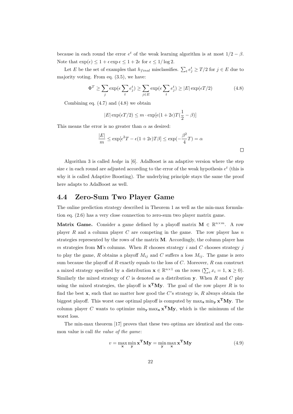because in each round the error  $e^t$  of the weak learning algorithm is at most  $1/2 - \beta$ . Note that  $\exp(\epsilon) \leq 1 + \epsilon \exp \epsilon \leq 1 + 2\epsilon$  for  $\epsilon \leq 1/\log 2$ .

Let E be the set of examples that  $h_{final}$  misclassifies.  $\sum_{t} e_j^t \geq T/2$  for  $j \in E$  due to majority voting. From eq. (3.5), we have:

$$
\Phi^T \ge \sum_j \exp(\epsilon \sum_t e_j^t) \ge \sum_{j \in E} \exp(\epsilon \sum_t e_j^t) \ge |E| \exp(\epsilon T/2)
$$
 (4.8)

Combining eq.  $(4.7)$  and  $(4.8)$  we obtain

$$
|E| \exp(\epsilon T/2) \le m \cdot \exp[\epsilon (1 + 2\epsilon)T(\frac{1}{2} - \beta)]
$$

This means the error is no greater than  $\alpha$  as desired:

$$
\frac{|E|}{m} \le \exp[\epsilon^2 T - \epsilon (1 + 2\epsilon)T\beta] \le \exp(-\frac{\beta^2}{4}T) = \alpha
$$

Algorithm 3 is called *hedge* in  $[6]$ . AdaBoost is an adaptive version where the step size  $\epsilon$  in each round are adjusted according to the error of the weak hypothesis  $e^t$  (this is why it is called Adaptive Boosting). The underlying principle stays the same the proof here adapts to AdaBoost as well.

### 4.4 Zero-Sum Two Player Game

The online prediction strategy described in Theorem 1 as well as the min-max formulation eq. (2.6) has a very close connection to zero-sum two player matrix game.

Matrix Game. Consider a game defined by a playoff matrix  $M \in \mathbb{R}^{n \times m}$ . A row player  $R$  and a column player  $C$  are competing in the game. The row player has  $n$ strategies represented by the rows of the matrix  $M$ . Accordingly, the column player has m strategies from M's columns. When R chooses strategy i and C chooses strategy j to play the game, R obtains a playoff  $M_{ij}$  and C suffers a loss  $M_{ij}$ . The game is zero sum because the playoff of  $R$  exactly equals to the loss of  $C$ . Moreover,  $R$  can construct a mixed strategy specified by a distribution  $\mathbf{x} \in \mathbb{R}^{n \times 1}$  on the rows  $(\sum_i x_i = 1, \mathbf{x} \ge 0)$ . Similarly the mixed strategy of  $C$  is denoted as a distribution  $\mathbf{y}$ . When  $R$  and  $C$  play using the mixed strategies, the playoff is  $\mathbf{x}^T \mathbf{M} \mathbf{y}$ . The goal of the row player R is to find the best  $x$ , such that no matter how good the  $C$ 's strategy is,  $R$  always obtain the biggest playoff. This worst case optimal playoff is computed by  $\max_{\mathbf{x}} \min_{\mathbf{y}} \mathbf{x}^{\mathbf{T}} \mathbf{M} \mathbf{y}$ . The column player C wants to optimize min<sub>y</sub> max<sub>x</sub>  $\mathbf{x}^T \mathbf{M} \mathbf{y}$ , which is the minimum of the worst loss.

The min-max theorem [17] proves that these two optima are identical and the common value is call the value of the game:

$$
v = \max_{\mathbf{x}} \min_{\mathbf{y}} \mathbf{x}^{\mathbf{T}} \mathbf{M} \mathbf{y} = \min_{\mathbf{y}} \max_{\mathbf{x}} \mathbf{x}^{\mathbf{T}} \mathbf{M} \mathbf{y}
$$
(4.9)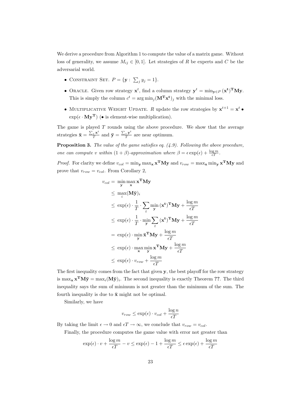We derive a procedure from Algorithm 1 to compute the value of a matrix game. Without loss of generality, we assume  $M_{ij} \in [0,1]$ . Let strategies of R be experts and C be the adversarial world.

- CONSTRAINT SET.  $P = \{ \mathbf{y} : \sum_{n=1}^{\infty}$  $_{j} y_{j} = 1$ .
- ORACLE. Given row strategy  $\mathbf{x}^t$ , find a column strategy  $\mathbf{y}^t = \min_{\mathbf{y} \in P} (\mathbf{x}^t)^T \mathbf{M} \mathbf{y}$ . This is simply the column  $c^t = \arg \min_j (\mathbf{M}^T \mathbf{x}^t)_j$  with the minimal loss.
- MULTIPLICATIVE WEIGHT UPDATE. R update the row strategies by  $\mathbf{x}^{t+1} = \mathbf{x}^t$  $\exp(\epsilon \cdot \mathbf{My}^T)$  (• is element-wise multiplication).

The game is played  $T$  rounds using the above procedure. We show that the average strategies  $\bar{\mathbf{x}} =$  $\sum_t \mathbf{x}^t$  $\frac{t^{\mathbf{x}}}{T}$  and  $\bar{\mathbf{y}} =$  $\sum_{t}$  y<sup>t</sup>  $\frac{t}{T}$  are near optimum.

**Proposition 3.** The value of the game satisfies eq.  $(4.9)$ . Following the above procedure, one can compute v within  $(1 + \beta)$ -approximation where  $\beta = \epsilon \exp(\epsilon) + \frac{\log m}{\epsilon T}$ .

*Proof.* For clarity we define  $v_{col} = \min_{\mathbf{y}} \max_{\mathbf{x}} \mathbf{x}^{\mathbf{T}} \mathbf{M} \mathbf{y}$  and  $v_{row} = \max_{\mathbf{x}} \min_{\mathbf{y}} \mathbf{x}^{\mathbf{T}} \mathbf{M} \mathbf{y}$  and prove that  $v_{row} = v_{col}$ . From Corollary 2,

$$
v_{col} = \min_{\mathbf{y}} \max_{\mathbf{x}} \mathbf{x}^{\mathbf{T}} \mathbf{M} \mathbf{y}
$$
  
\n
$$
\leq \max_{i} (\mathbf{M}\bar{\mathbf{y}})_{i}
$$
  
\n
$$
\leq \exp(\epsilon) \cdot \frac{1}{T} \cdot \sum_{t} \min_{\mathbf{y}} (\mathbf{x}^{t})^{\mathbf{T}} \mathbf{M} \mathbf{y} + \frac{\log m}{\epsilon T}
$$
  
\n
$$
\leq \exp(\epsilon) \cdot \frac{1}{T} \cdot \min_{\mathbf{y}} \sum_{t} (\mathbf{x}^{t})^{\mathbf{T}} \mathbf{M} \mathbf{y} + \frac{\log m}{\epsilon T}
$$
  
\n
$$
= \exp(\epsilon) \cdot \min_{\mathbf{y}} \bar{\mathbf{x}}^{\mathbf{T}} \mathbf{M} \mathbf{y} + \frac{\log m}{\epsilon T}
$$
  
\n
$$
\leq \exp(\epsilon) \cdot \max_{\mathbf{x}} \min_{\mathbf{y}} \mathbf{x}^{\mathbf{T}} \mathbf{M} \mathbf{y} + \frac{\log m}{\epsilon T}
$$
  
\n
$$
\leq \exp(\epsilon) \cdot v_{row} + \frac{\log m}{\epsilon T}
$$

The first inequality comes from the fact that given  $\mathbf{y}$ , the best playoff for the row strategy is  $\max_{\mathbf{x}} \mathbf{x}^{\mathbf{T}} \mathbf{M} \bar{\mathbf{y}} = \max_{i} (\mathbf{M} \bar{\mathbf{y}})_i$ . The second inequality is exactly Theorem ??. The third inequality says the sum of minimum is not greater than the minimum of the sum. The fourth inequality is due to  $\bar{x}$  might not be optimal.

Similarly, we have

$$
v_{row} \le \exp(\epsilon) \cdot v_{col} + \frac{\log n}{\epsilon T}
$$

By taking the limit  $\epsilon \to 0$  and  $\epsilon T \to \infty$ , we conclude that  $v_{row} = v_{col}$ .

Finally, the procedure computes the game value with error not greater than

$$
\exp(\epsilon) \cdot v + \frac{\log m}{\epsilon T} - v \le \exp(\epsilon) - 1 + \frac{\log m}{\epsilon T} \le \epsilon \exp(\epsilon) + \frac{\log m}{\epsilon T}
$$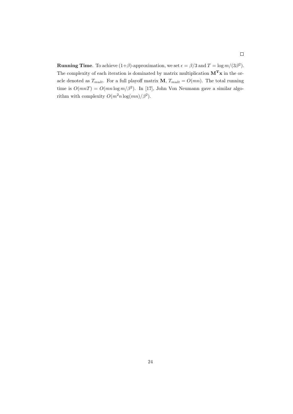**Running Time**. To achieve  $(1+\beta)$ -approximation, we set  $\epsilon = \beta/3$  and  $T = \log m/(3\beta^2)$ . The complexity of each iteration is dominated by matrix multiplication  $\mathbf{M^T x}$  in the oracle denoted as  $T_{mult}$ . For a full playoff matrix **M**,  $T_{mult} = O(mn)$ . The total running time is  $O(mnT) = O(mn \log m/\beta^2)$ . In [17], John Von Neumann gave a similar algorithm with complexity  $O(m^2 n \log(mn)/\beta^2)$ .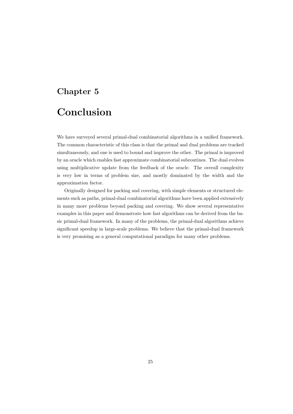# Chapter 5

# Conclusion

We have surveyed several primal-dual combinatorial algorithms in a unified framework. The common characteristic of this class is that the primal and dual problems are tracked simultaneously, and one is used to bound and improve the other. The primal is improved by an oracle which enables fast approximate combinatorial subroutines. The dual evolves using multiplicative update from the feedback of the oracle. The overall complexity is very low in terms of problem size, and mostly dominated by the width and the approximation factor.

Originally designed for packing and covering, with simple elements or structured elements such as paths, primal-dual combinatorial algorithms have been applied extensively in many more problems beyond packing and covering. We show several representative examples in this paper and demonstrate how fast algorithms can be derived from the basic primal-dual framework. In many of the problems, the primal-dual algorithms achieve significant speedup in large-scale problems. We believe that the primal-dual framework is very promising as a general computational paradigm for many other problems.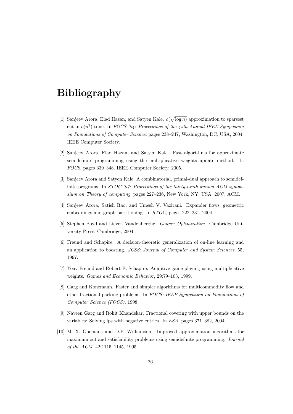# Bibliography

- [1] Sanjeev Arora, Elad Hazan, and Satyen Kale. o( p  $log n$ ) approximation to sparsest cut in  $o(n^2)$  time. In FOCS '04: Proceedings of the 45th Annual IEEE Symposium on Foundations of Computer Science, pages 238–247, Washington, DC, USA, 2004. IEEE Computer Society.
- [2] Sanjeev Arora, Elad Hazan, and Satyen Kale. Fast algorithms for approximate semidefinite programming using the multiplicative weights update method. In FOCS, pages 339–348. IEEE Computer Society, 2005.
- [3] Sanjeev Arora and Satyen Kale. A combinatorial, primal-dual approach to semidefinite programs. In *STOC* '07: Proceedings of the thirty-ninth annual ACM symposium on Theory of computing, pages 227–236, New York, NY, USA, 2007. ACM.
- [4] Sanjeev Arora, Satish Rao, and Umesh V. Vazirani. Expander flows, geometric embeddings and graph partitioning. In STOC, pages 222–231, 2004.
- [5] Stephen Boyd and Lieven Vandenberghe. Convex Optimization. Cambridge University Press, Cambridge, 2004.
- [6] Freund and Schapire. A decision-theoretic generalization of on-line learning and an application to boosting. JCSS: Journal of Computer and System Sciences, 55, 1997.
- [7] Yoav Freund and Robert E. Schapire. Adaptive game playing using multiplicative weights. Games and Economic Behavior, 29:79–103, 1999.
- [8] Garg and Konemann. Faster and simpler algorithms for multicommodity flow and other fractional packing problems. In FOCS: IEEE Symposium on Foundations of Computer Science (FOCS), 1998.
- [9] Naveen Garg and Rohit Khandekar. Fractional covering with upper bounds on the variables: Solving lps with negative entries. In ESA, pages 371–382, 2004.
- [10] M. X. Goemans and D.P. Williamson. Improved approximation algorithms for maximum cut and satisfiability problems using semidefinite programming. Journal of the ACM, 42:1115–1145, 1995.